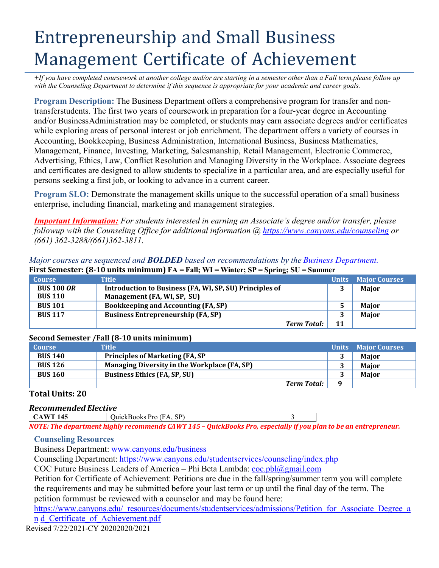# Entrepreneurship and Small Business Management Certificate of Achievement

+If you have completed coursework at another college and/or are starting in a semester other than a Fall term,please follow up *with the Counseling Department to determine if this sequence is appropriate for your academic and career goals.*

**Program Description:** The Business Department offers a comprehensive program for transfer and nontransferstudents. The first two years of coursework in preparation for a four-year degree in Accounting and/or BusinessAdministration may be completed, or students may earn associate degrees and/or certificates while exploring areas of personal interest or job enrichment. The department offers a variety of courses in Accounting, Bookkeeping, Business Administration, International Business, Business Mathematics, Management, Finance, Investing, Marketing, Salesmanship, Retail Management, Electronic Commerce, Advertising, Ethics, Law, Conflict Resolution and Managing Diversity in the Workplace. Associate degrees and certificates are designed to allow students to specialize in a particular area, and are especially useful for persons seeking a first job, or looking to advance in a current career.

**Program SLO:** Demonstrate the management skills unique to the successful operation of a small business enterprise, including financial, marketing and management strategies.

*Important Information: For students interested in earning an Associate's degree and/or transfer, please followup with the Counseling Office for additional information @ https:/[/www.canyons.edu/counseling](http://www.canyons.edu/counseling) or (661) 362-3288/(661)362-3811.*

*Major courses are sequenced and BOLDED based on recommendations by the Business Department.* **First Semester: (8-10 units minimum) FA = Fall; WI = Winter; SP = Spring; SU = Summer**

| <b>Course</b>                       | <b>Title</b>                                                                           | <b>Units</b> | <b>Major Courses</b> |
|-------------------------------------|----------------------------------------------------------------------------------------|--------------|----------------------|
| <b>BUS 100 OR</b><br><b>BUS 110</b> | Introduction to Business (FA, WI, SP, SU) Principles of<br>Management (FA, WI, SP, SU) |              | <b>Major</b>         |
| <b>BUS 101</b>                      | Bookkeeping and Accounting (FA, SP)                                                    | 5            | <b>Maior</b>         |
| <b>BUS 117</b>                      | <b>Business Entrepreneurship (FA, SP)</b>                                              | 3            | <b>Maior</b>         |
|                                     | <b>Term Total:</b>                                                                     | 11           |                      |

## **Second Semester /Fall (8-10 units minimum)**

| <b>Course</b>  | <b>Title</b>                                 |              | <b>Units</b> Major Courses |
|----------------|----------------------------------------------|--------------|----------------------------|
| <b>BUS 140</b> | <b>Principles of Marketing (FA, SP)</b>      |              | <b>Maior</b>               |
| <b>BUS 126</b> | Managing Diversity in the Workplace (FA, SP) |              | <b>Maior</b>               |
| <b>BUS 160</b> | <b>Business Ethics (FA, SP, SU)</b>          | 3            | <b>Maior</b>               |
|                | Term Total:                                  | $\mathbf{Q}$ |                            |

### **Total Units: 20**

### *Recommended Elective*

| <b>CAWT 145</b> | QuickBooks Pro (FA, SP)                                                                                         |  |
|-----------------|-----------------------------------------------------------------------------------------------------------------|--|
|                 | NOTE: The department highly recommends CAWT 145 – QuickBooks Pro, especially if you plan to be an entrepreneur. |  |

#### **Counseling Resources**

Business Department: [www.canyons.edu/business](http://www.canyons.edu/business)

Counseling Department: https:/[/www.canyons.edu/studentservices/counseling/index.php](http://www.canyons.edu/studentservices/counseling/index.php)

COC Future Business Leaders of America – Phi Beta Lambda:  $\cot 1/\sqrt{2}$ gmail.com

Petition for Certificate of Achievement: Petitions are due in the fall/spring/summer term you will complete the requirements and may be submitted before your last term or up until the final day of the term. The petition formmust be reviewed with a counselor and may be found here:

https:/[/www.canyons.edu/\\_resources/documents/studentservices/admissions/Petition\\_for\\_Associate\\_Degree\\_a](http://www.canyons.edu/_resources/documents/studentservices/admissions/Petition_for_Associate_Degree_an) [n](http://www.canyons.edu/_resources/documents/studentservices/admissions/Petition_for_Associate_Degree_an) d\_Certificate\_of\_Achievement.pdf

Revised 7/22/2021-CY 20202020/2021